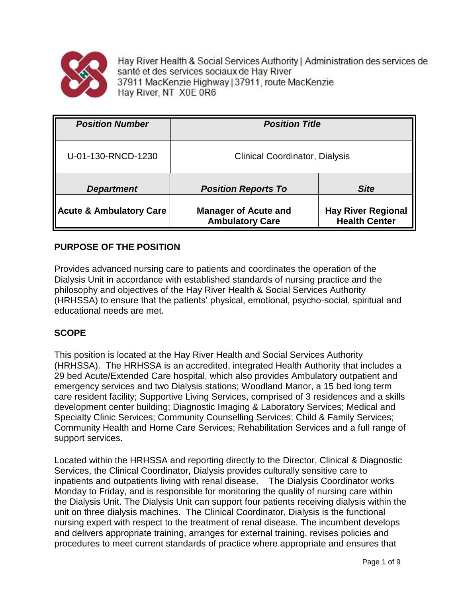

Hay River Health & Social Services Authority | Administration des services de santé et des services sociaux de Hay River 37911 MacKenzie Highway | 37911, route MacKenzie Hay River, NT X0E 0R6

| <b>Position Number</b>             | <b>Position Title</b>                                 |                                                   |
|------------------------------------|-------------------------------------------------------|---------------------------------------------------|
| U-01-130-RNCD-1230                 | <b>Clinical Coordinator, Dialysis</b>                 |                                                   |
| <b>Department</b>                  | <b>Position Reports To</b>                            | <b>Site</b>                                       |
| <b>Acute &amp; Ambulatory Care</b> | <b>Manager of Acute and</b><br><b>Ambulatory Care</b> | <b>Hay River Regional</b><br><b>Health Center</b> |

# **PURPOSE OF THE POSITION**

Provides advanced nursing care to patients and coordinates the operation of the Dialysis Unit in accordance with established standards of nursing practice and the philosophy and objectives of the Hay River Health & Social Services Authority (HRHSSA) to ensure that the patients' physical, emotional, psycho-social, spiritual and educational needs are met.

## **SCOPE**

This position is located at the Hay River Health and Social Services Authority (HRHSSA). The HRHSSA is an accredited, integrated Health Authority that includes a 29 bed Acute/Extended Care hospital, which also provides Ambulatory outpatient and emergency services and two Dialysis stations; Woodland Manor, a 15 bed long term care resident facility; Supportive Living Services, comprised of 3 residences and a skills development center building; Diagnostic Imaging & Laboratory Services; Medical and Specialty Clinic Services; Community Counselling Services; Child & Family Services; Community Health and Home Care Services; Rehabilitation Services and a full range of support services.

Located within the HRHSSA and reporting directly to the Director, Clinical & Diagnostic Services, the Clinical Coordinator, Dialysis provides culturally sensitive care to inpatients and outpatients living with renal disease. The Dialysis Coordinator works Monday to Friday, and is responsible for monitoring the quality of nursing care within the Dialysis Unit. The Dialysis Unit can support four patients receiving dialysis within the unit on three dialysis machines. The Clinical Coordinator, Dialysis is the functional nursing expert with respect to the treatment of renal disease. The incumbent develops and delivers appropriate training, arranges for external training, revises policies and procedures to meet current standards of practice where appropriate and ensures that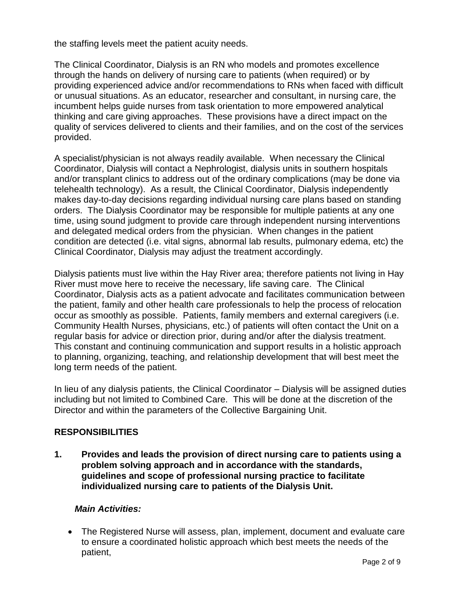the staffing levels meet the patient acuity needs.

The Clinical Coordinator, Dialysis is an RN who models and promotes excellence through the hands on delivery of nursing care to patients (when required) or by providing experienced advice and/or recommendations to RNs when faced with difficult or unusual situations. As an educator, researcher and consultant, in nursing care, the incumbent helps guide nurses from task orientation to more empowered analytical thinking and care giving approaches. These provisions have a direct impact on the quality of services delivered to clients and their families, and on the cost of the services provided.

A specialist/physician is not always readily available. When necessary the Clinical Coordinator, Dialysis will contact a Nephrologist, dialysis units in southern hospitals and/or transplant clinics to address out of the ordinary complications (may be done via telehealth technology). As a result, the Clinical Coordinator, Dialysis independently makes day-to-day decisions regarding individual nursing care plans based on standing orders. The Dialysis Coordinator may be responsible for multiple patients at any one time, using sound judgment to provide care through independent nursing interventions and delegated medical orders from the physician. When changes in the patient condition are detected (i.e. vital signs, abnormal lab results, pulmonary edema, etc) the Clinical Coordinator, Dialysis may adjust the treatment accordingly.

Dialysis patients must live within the Hay River area; therefore patients not living in Hay River must move here to receive the necessary, life saving care. The Clinical Coordinator, Dialysis acts as a patient advocate and facilitates communication between the patient, family and other health care professionals to help the process of relocation occur as smoothly as possible. Patients, family members and external caregivers (i.e. Community Health Nurses, physicians, etc.) of patients will often contact the Unit on a regular basis for advice or direction prior, during and/or after the dialysis treatment. This constant and continuing communication and support results in a holistic approach to planning, organizing, teaching, and relationship development that will best meet the long term needs of the patient.

In lieu of any dialysis patients, the Clinical Coordinator – Dialysis will be assigned duties including but not limited to Combined Care. This will be done at the discretion of the Director and within the parameters of the Collective Bargaining Unit.

## **RESPONSIBILITIES**

**1. Provides and leads the provision of direct nursing care to patients using a problem solving approach and in accordance with the standards, guidelines and scope of professional nursing practice to facilitate individualized nursing care to patients of the Dialysis Unit.**

## *Main Activities:*

 The Registered Nurse will assess, plan, implement, document and evaluate care to ensure a coordinated holistic approach which best meets the needs of the patient,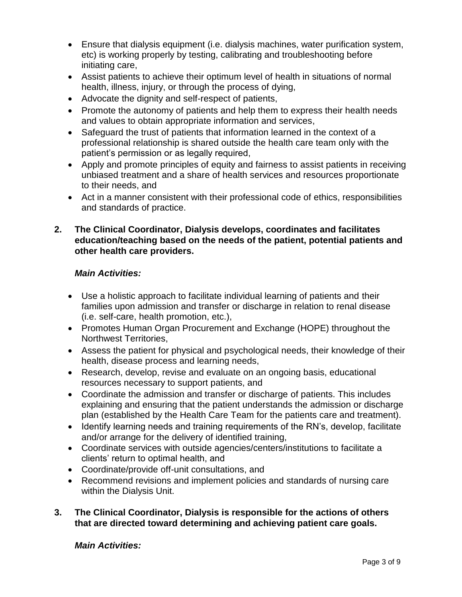- Ensure that dialysis equipment (i.e. dialysis machines, water purification system, etc) is working properly by testing, calibrating and troubleshooting before initiating care,
- Assist patients to achieve their optimum level of health in situations of normal health, illness, injury, or through the process of dying,
- Advocate the dignity and self-respect of patients,
- Promote the autonomy of patients and help them to express their health needs and values to obtain appropriate information and services,
- Safeguard the trust of patients that information learned in the context of a professional relationship is shared outside the health care team only with the patient's permission or as legally required,
- Apply and promote principles of equity and fairness to assist patients in receiving unbiased treatment and a share of health services and resources proportionate to their needs, and
- Act in a manner consistent with their professional code of ethics, responsibilities and standards of practice.

## **2. The Clinical Coordinator, Dialysis develops, coordinates and facilitates education/teaching based on the needs of the patient, potential patients and other health care providers.**

# *Main Activities:*

- Use a holistic approach to facilitate individual learning of patients and their families upon admission and transfer or discharge in relation to renal disease (i.e. self-care, health promotion, etc.),
- Promotes Human Organ Procurement and Exchange (HOPE) throughout the Northwest Territories,
- Assess the patient for physical and psychological needs, their knowledge of their health, disease process and learning needs,
- Research, develop, revise and evaluate on an ongoing basis, educational resources necessary to support patients, and
- Coordinate the admission and transfer or discharge of patients. This includes explaining and ensuring that the patient understands the admission or discharge plan (established by the Health Care Team for the patients care and treatment).
- Identify learning needs and training requirements of the RN's, develop, facilitate and/or arrange for the delivery of identified training,
- Coordinate services with outside agencies/centers/institutions to facilitate a clients' return to optimal health, and
- Coordinate/provide off-unit consultations, and
- Recommend revisions and implement policies and standards of nursing care within the Dialysis Unit.
- **3. The Clinical Coordinator, Dialysis is responsible for the actions of others that are directed toward determining and achieving patient care goals.**

## *Main Activities:*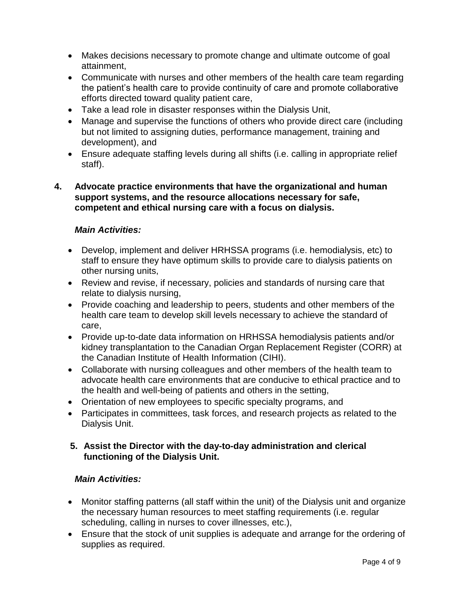- Makes decisions necessary to promote change and ultimate outcome of goal attainment,
- Communicate with nurses and other members of the health care team regarding the patient's health care to provide continuity of care and promote collaborative efforts directed toward quality patient care,
- Take a lead role in disaster responses within the Dialysis Unit,
- Manage and supervise the functions of others who provide direct care (including but not limited to assigning duties, performance management, training and development), and
- Ensure adequate staffing levels during all shifts (i.e. calling in appropriate relief staff).

## **4. Advocate practice environments that have the organizational and human support systems, and the resource allocations necessary for safe, competent and ethical nursing care with a focus on dialysis.**

# *Main Activities:*

- Develop, implement and deliver HRHSSA programs (i.e. hemodialysis, etc) to staff to ensure they have optimum skills to provide care to dialysis patients on other nursing units,
- Review and revise, if necessary, policies and standards of nursing care that relate to dialysis nursing,
- Provide coaching and leadership to peers, students and other members of the health care team to develop skill levels necessary to achieve the standard of care,
- Provide up-to-date data information on HRHSSA hemodialysis patients and/or kidney transplantation to the Canadian Organ Replacement Register (CORR) at the Canadian Institute of Health Information (CIHI).
- Collaborate with nursing colleagues and other members of the health team to advocate health care environments that are conducive to ethical practice and to the health and well-being of patients and others in the setting,
- Orientation of new employees to specific specialty programs, and
- Participates in committees, task forces, and research projects as related to the Dialysis Unit.

## **5. Assist the Director with the day-to-day administration and clerical functioning of the Dialysis Unit.**

# *Main Activities:*

- Monitor staffing patterns (all staff within the unit) of the Dialysis unit and organize the necessary human resources to meet staffing requirements (i.e. regular scheduling, calling in nurses to cover illnesses, etc.),
- Ensure that the stock of unit supplies is adequate and arrange for the ordering of supplies as required.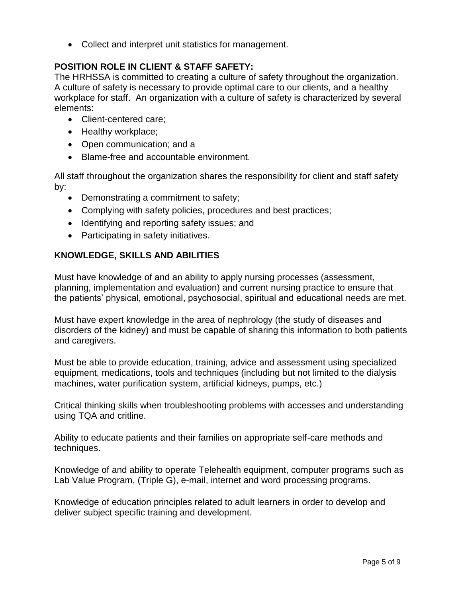• Collect and interpret unit statistics for management.

## **POSITION ROLE IN CLIENT & STAFF SAFETY:**

The HRHSSA is committed to creating a culture of safety throughout the organization. A culture of safety is necessary to provide optimal care to our clients, and a healthy workplace for staff. An organization with a culture of safety is characterized by several elements:

- Client-centered care:
- Healthy workplace;
- Open communication; and a
- Blame-free and accountable environment.

All staff throughout the organization shares the responsibility for client and staff safety by:

- Demonstrating a commitment to safety;
- Complying with safety policies, procedures and best practices;
- Identifying and reporting safety issues; and
- Participating in safety initiatives.

# **KNOWLEDGE, SKILLS AND ABILITIES**

Must have knowledge of and an ability to apply nursing processes (assessment, planning, implementation and evaluation) and current nursing practice to ensure that the patients' physical, emotional, psychosocial, spiritual and educational needs are met.

Must have expert knowledge in the area of nephrology (the study of diseases and disorders of the kidney) and must be capable of sharing this information to both patients and caregivers.

Must be able to provide education, training, advice and assessment using specialized equipment, medications, tools and techniques (including but not limited to the dialysis machines, water purification system, artificial kidneys, pumps, etc.)

Critical thinking skills when troubleshooting problems with accesses and understanding using TQA and critline.

Ability to educate patients and their families on appropriate self-care methods and techniques.

Knowledge of and ability to operate Telehealth equipment, computer programs such as Lab Value Program, (Triple G), e-mail, internet and word processing programs.

Knowledge of education principles related to adult learners in order to develop and deliver subject specific training and development.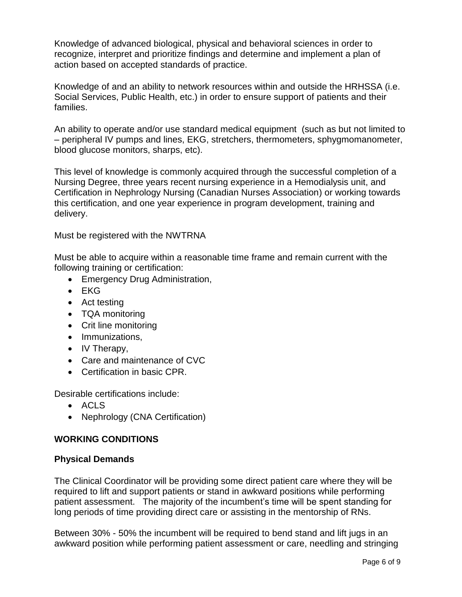Knowledge of advanced biological, physical and behavioral sciences in order to recognize, interpret and prioritize findings and determine and implement a plan of action based on accepted standards of practice.

Knowledge of and an ability to network resources within and outside the HRHSSA (i.e. Social Services, Public Health, etc.) in order to ensure support of patients and their families.

An ability to operate and/or use standard medical equipment (such as but not limited to – peripheral IV pumps and lines, EKG, stretchers, thermometers, sphygmomanometer, blood glucose monitors, sharps, etc).

This level of knowledge is commonly acquired through the successful completion of a Nursing Degree, three years recent nursing experience in a Hemodialysis unit, and Certification in Nephrology Nursing (Canadian Nurses Association) or working towards this certification, and one year experience in program development, training and delivery.

Must be registered with the NWTRNA

Must be able to acquire within a reasonable time frame and remain current with the following training or certification:

- **Emergency Drug Administration,**
- EKG
- Act testing
- TQA monitoring
- Crit line monitoring
- Immunizations,
- IV Therapy,
- Care and maintenance of CVC
- Certification in basic CPR.

Desirable certifications include:

- ACLS
- Nephrology (CNA Certification)

#### **WORKING CONDITIONS**

#### **Physical Demands**

The Clinical Coordinator will be providing some direct patient care where they will be required to lift and support patients or stand in awkward positions while performing patient assessment. The majority of the incumbent's time will be spent standing for long periods of time providing direct care or assisting in the mentorship of RNs.

Between 30% - 50% the incumbent will be required to bend stand and lift jugs in an awkward position while performing patient assessment or care, needling and stringing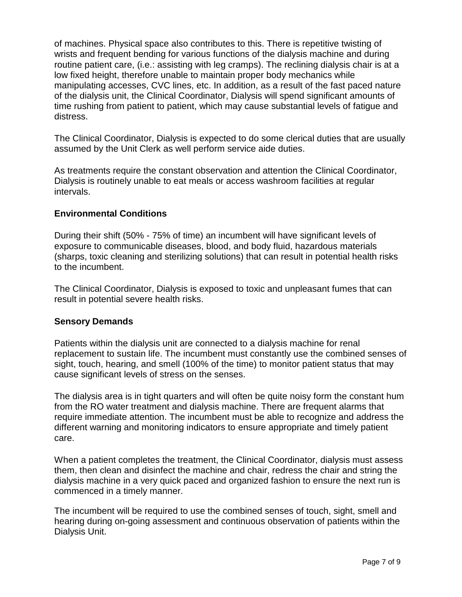of machines. Physical space also contributes to this. There is repetitive twisting of wrists and frequent bending for various functions of the dialysis machine and during routine patient care, (i.e.: assisting with leg cramps). The reclining dialysis chair is at a low fixed height, therefore unable to maintain proper body mechanics while manipulating accesses, CVC lines, etc. In addition, as a result of the fast paced nature of the dialysis unit, the Clinical Coordinator, Dialysis will spend significant amounts of time rushing from patient to patient, which may cause substantial levels of fatigue and distress.

The Clinical Coordinator, Dialysis is expected to do some clerical duties that are usually assumed by the Unit Clerk as well perform service aide duties.

As treatments require the constant observation and attention the Clinical Coordinator, Dialysis is routinely unable to eat meals or access washroom facilities at regular intervals.

## **Environmental Conditions**

During their shift (50% - 75% of time) an incumbent will have significant levels of exposure to communicable diseases, blood, and body fluid, hazardous materials (sharps, toxic cleaning and sterilizing solutions) that can result in potential health risks to the incumbent.

The Clinical Coordinator, Dialysis is exposed to toxic and unpleasant fumes that can result in potential severe health risks.

## **Sensory Demands**

Patients within the dialysis unit are connected to a dialysis machine for renal replacement to sustain life. The incumbent must constantly use the combined senses of sight, touch, hearing, and smell (100% of the time) to monitor patient status that may cause significant levels of stress on the senses.

The dialysis area is in tight quarters and will often be quite noisy form the constant hum from the RO water treatment and dialysis machine. There are frequent alarms that require immediate attention. The incumbent must be able to recognize and address the different warning and monitoring indicators to ensure appropriate and timely patient care.

When a patient completes the treatment, the Clinical Coordinator, dialysis must assess them, then clean and disinfect the machine and chair, redress the chair and string the dialysis machine in a very quick paced and organized fashion to ensure the next run is commenced in a timely manner.

The incumbent will be required to use the combined senses of touch, sight, smell and hearing during on-going assessment and continuous observation of patients within the Dialysis Unit.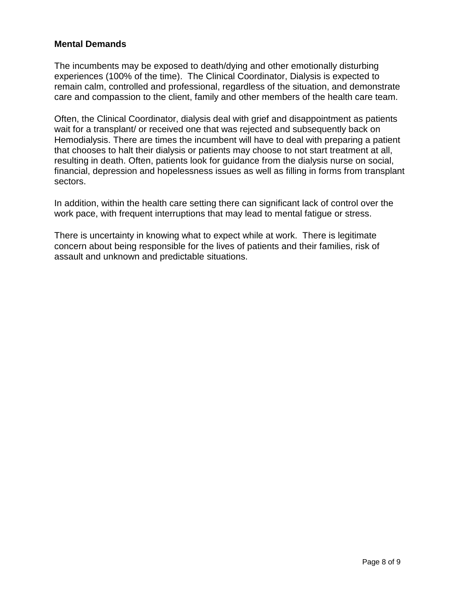## **Mental Demands**

The incumbents may be exposed to death/dying and other emotionally disturbing experiences (100% of the time). The Clinical Coordinator, Dialysis is expected to remain calm, controlled and professional, regardless of the situation, and demonstrate care and compassion to the client, family and other members of the health care team.

Often, the Clinical Coordinator, dialysis deal with grief and disappointment as patients wait for a transplant/ or received one that was rejected and subsequently back on Hemodialysis. There are times the incumbent will have to deal with preparing a patient that chooses to halt their dialysis or patients may choose to not start treatment at all, resulting in death. Often, patients look for guidance from the dialysis nurse on social, financial, depression and hopelessness issues as well as filling in forms from transplant sectors.

In addition, within the health care setting there can significant lack of control over the work pace, with frequent interruptions that may lead to mental fatigue or stress.

There is uncertainty in knowing what to expect while at work. There is legitimate concern about being responsible for the lives of patients and their families, risk of assault and unknown and predictable situations.